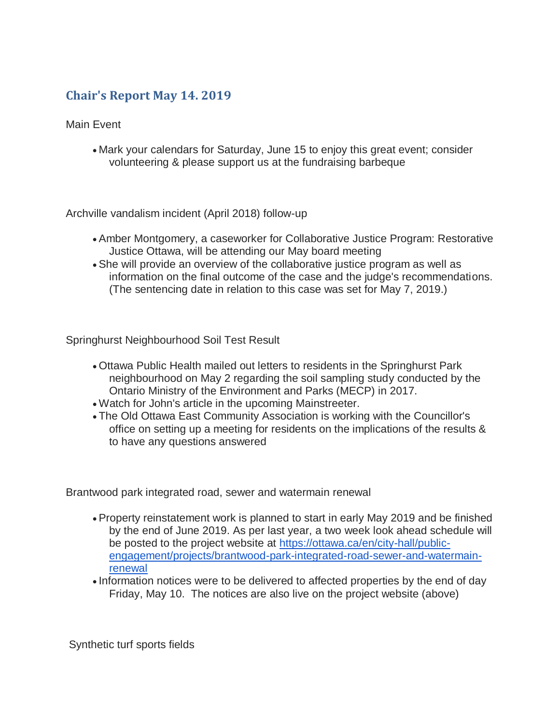## **Chair's Report May 14. 2019**

Main Event

 Mark your calendars for Saturday, June 15 to enjoy this great event; consider volunteering & please support us at the fundraising barbeque

Archville vandalism incident (April 2018) follow-up

- Amber Montgomery, a caseworker for Collaborative Justice Program: Restorative Justice Ottawa, will be attending our May board meeting
- She will provide an overview of the collaborative justice program as well as information on the final outcome of the case and the judge's recommendations. (The sentencing date in relation to this case was set for May 7, 2019.)

Springhurst Neighbourhood Soil Test Result

- Ottawa Public Health mailed out letters to residents in the Springhurst Park neighbourhood on May 2 regarding the soil sampling study conducted by the Ontario Ministry of the Environment and Parks (MECP) in 2017.
- Watch for John's article in the upcoming Mainstreeter.
- The Old Ottawa East Community Association is working with the Councillor's office on setting up a meeting for residents on the implications of the results & to have any questions answered

Brantwood park integrated road, sewer and watermain renewal

- Property reinstatement work is planned to start in early May 2019 and be finished by the end of June 2019. As per last year, a two week look ahead schedule will be posted to the project website at [https://ottawa.ca/en/city-hall/public](https://ottawa.ca/en/city-hall/public-engagement/projects/brantwood-park-integrated-road-sewer-and-watermain-renewal)[engagement/projects/brantwood-park-integrated-road-sewer-and-watermain](https://ottawa.ca/en/city-hall/public-engagement/projects/brantwood-park-integrated-road-sewer-and-watermain-renewal)[renewal](https://ottawa.ca/en/city-hall/public-engagement/projects/brantwood-park-integrated-road-sewer-and-watermain-renewal)
- Information notices were to be delivered to affected properties by the end of day Friday, May 10. The notices are also live on the project website (above)

Synthetic turf sports fields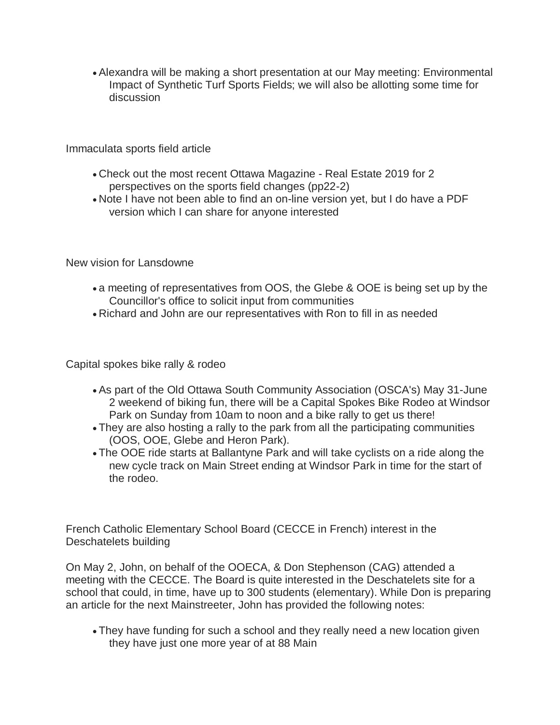Alexandra will be making a short presentation at our May meeting: Environmental Impact of Synthetic Turf Sports Fields; we will also be allotting some time for discussion

Immaculata sports field article

- Check out the most recent Ottawa Magazine Real Estate 2019 for 2 perspectives on the sports field changes (pp22-2)
- Note I have not been able to find an on-line version yet, but I do have a PDF version which I can share for anyone interested

New vision for Lansdowne

- a meeting of representatives from OOS, the Glebe & OOE is being set up by the Councillor's office to solicit input from communities
- Richard and John are our representatives with Ron to fill in as needed

Capital spokes bike rally & rodeo

- As part of the Old Ottawa South Community Association (OSCA's) May 31-June 2 weekend of biking fun, there will be a Capital Spokes Bike Rodeo at Windsor Park on Sunday from 10am to noon and a bike rally to get us there!
- They are also hosting a rally to the park from all the participating communities (OOS, OOE, Glebe and Heron Park).
- The OOE ride starts at Ballantyne Park and will take cyclists on a ride along the new cycle track on Main Street ending at Windsor Park in time for the start of the rodeo.

French Catholic Elementary School Board (CECCE in French) interest in the Deschatelets building

On May 2, John, on behalf of the OOECA, & Don Stephenson (CAG) attended a meeting with the CECCE. The Board is quite interested in the Deschatelets site for a school that could, in time, have up to 300 students (elementary). While Don is preparing an article for the next Mainstreeter, John has provided the following notes:

 They have funding for such a school and they really need a new location given they have just one more year of at 88 Main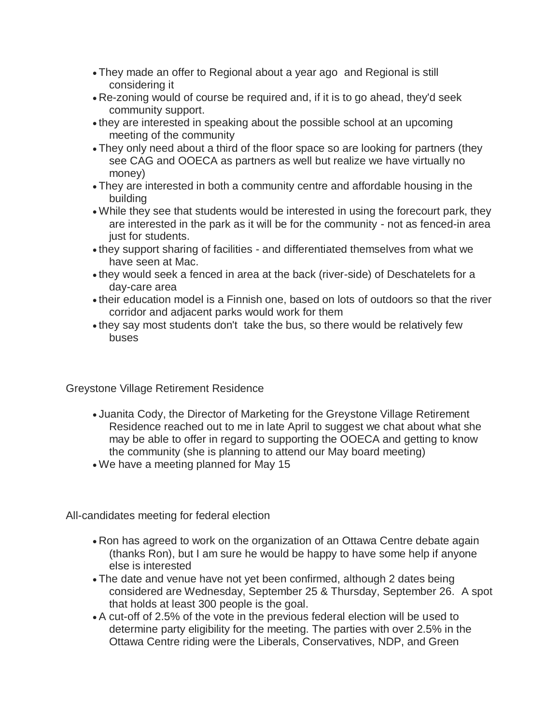- They made an offer to Regional about a year ago and Regional is still considering it
- Re-zoning would of course be required and, if it is to go ahead, they'd seek community support.
- they are interested in speaking about the possible school at an upcoming meeting of the community
- They only need about a third of the floor space so are looking for partners (they see CAG and OOECA as partners as well but realize we have virtually no money)
- They are interested in both a community centre and affordable housing in the building
- While they see that students would be interested in using the forecourt park, they are interested in the park as it will be for the community - not as fenced-in area just for students.
- they support sharing of facilities and differentiated themselves from what we have seen at Mac.
- they would seek a fenced in area at the back (river-side) of Deschatelets for a day-care area
- their education model is a Finnish one, based on lots of outdoors so that the river corridor and adjacent parks would work for them
- they say most students don't take the bus, so there would be relatively few buses

Greystone Village Retirement Residence

- Juanita Cody, the Director of Marketing for the Greystone Village Retirement Residence reached out to me in late April to suggest we chat about what she may be able to offer in regard to supporting the OOECA and getting to know the community (she is planning to attend our May board meeting)
- We have a meeting planned for May 15

All-candidates meeting for federal election

- Ron has agreed to work on the organization of an Ottawa Centre debate again (thanks Ron), but I am sure he would be happy to have some help if anyone else is interested
- The date and venue have not yet been confirmed, although 2 dates being considered are Wednesday, September 25 & Thursday, September 26. A spot that holds at least 300 people is the goal.
- A cut-off of 2.5% of the vote in the previous federal election will be used to determine party eligibility for the meeting. The parties with over 2.5% in the Ottawa Centre riding were the Liberals, Conservatives, NDP, and Green